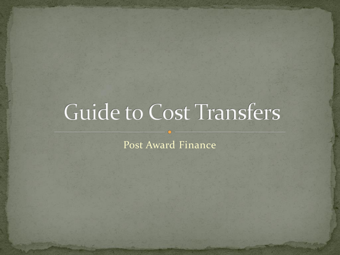# Guide to Cost Transfers

Post Award Finance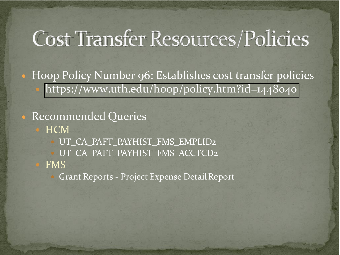## Cost Transfer Resources/Policies

• Hoop Policy Number 96: Establishes cost transfer policies <https://www.uth.edu/hoop/policy.htm?id=1448040>

• Recommended Queries

**HCM** 

UT\_CA\_PAFT\_PAYHIST\_FMS\_EMPLID2

UT\_CA\_PAFT\_PAYHIST\_FMS\_ACCTCD2

FMS

Grant Reports - Project Expense Detail Report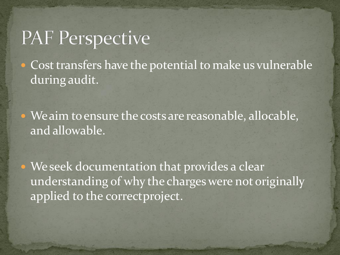## **PAF Perspective**

• Cost transfers have the potential to make us vulnerable during audit.

• We aim to ensure the costs are reasonable, allocable, and allowable.

• We seek documentation that provides a clear understanding of why the charges were not originally applied to the correctproject.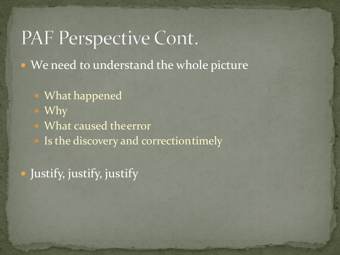## PAF Perspective Cont.

• We need to understand the whole picture

- What happened
- Why
- What caused theerror
- Is the discovery and correctiontimely

Justify, justify, justify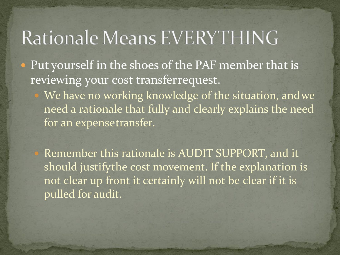#### Rationale Means EVERYTHING

- Put yourself in the shoes of the PAF member that is reviewing your cost transferrequest.
	- We have no working knowledge of the situation, andwe need a rationale that fully and clearly explains the need for an expensetransfer.

 Remember this rationale is AUDIT SUPPORT, and it should justifythe cost movement. If the explanation is not clear up front it certainly will not be clear if it is pulled for audit.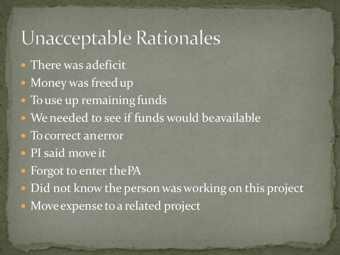## Unacceptable Rationales

- There was adeficit
- Money was freed up
- To use up remaining funds
- We needed to see if funds would beavailable
- To correct an error
- PI said move it
- Forgot to enter the PA
- Did not know the person was working on this project
- Move expense to a related project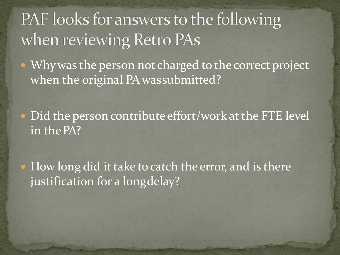#### PAF looks for answers to the following when reviewing Retro PAs

• Why was the person not charged to the correct project when the original PA wassubmitted?

• Did the person contribute effort/work at the FTE level in the PA?

• How long did it take to catch the error, and is there justification for a longdelay?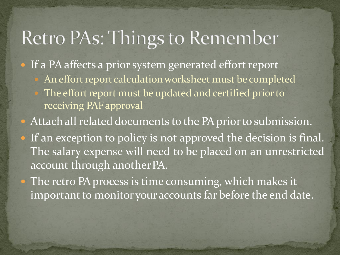## Retro PAs: Things to Remember

• If a PA affects a prior system generated effort report

- An effort report calculation worksheet must be completed
- The effort report must be updated and certified prior to receiving PAF approval
- Attach all related documents to the PA prior to submission.
- If an exception to policy is not approved the decision is final. The salary expense will need to be placed on an unrestricted account through another PA.

• The retro PA process is time consuming, which makes it important to monitor your accounts far before the end date.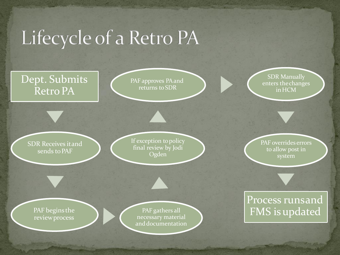## Lifecycle of a Retro PA

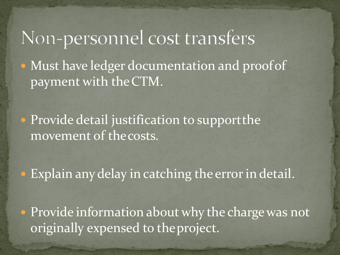## Non-personnel cost transfers

• Must have ledger documentation and proof of payment with theCTM.

**• Provide detail justification to support the** movement of thecosts.

· Explain any delay in catching the error in detail.

• Provide information about why the charge was not originally expensed to theproject.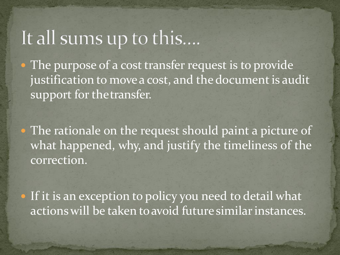#### It all sums up to this....

• The purpose of a cost transfer request is to provide justification to move a cost, and the document is audit support for the transfer.

• The rationale on the request should paint a picture of what happened, why, and justify the timeliness of the correction.

 If it is an exception to policy you need to detail what actions will be taken to avoid future similar instances.